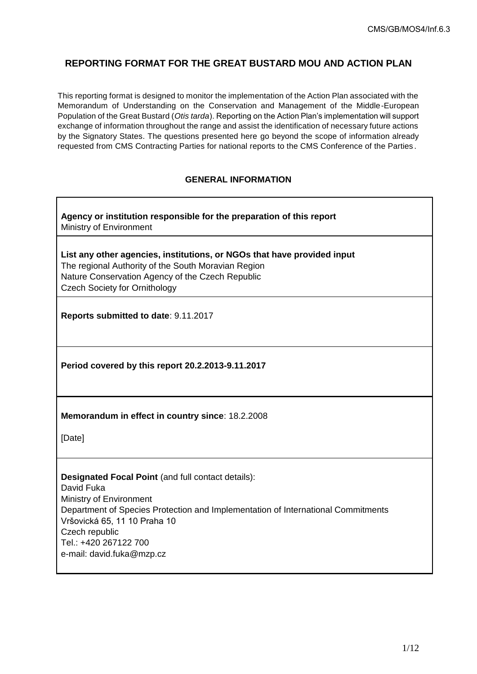# **REPORTING FORMAT FOR THE GREAT BUSTARD MOU AND ACTION PLAN**

This reporting format is designed to monitor the implementation of the Action Plan associated with the Memorandum of Understanding on the Conservation and Management of the Middle-European Population of the Great Bustard (*Otis tarda*). Reporting on the Action Plan's implementation will support exchange of information throughout the range and assist the identification of necessary future actions by the Signatory States. The questions presented here go beyond the scope of information already requested from CMS Contracting Parties for national reports to the CMS Conference of the Parties .

# **GENERAL INFORMATION**

**Agency or institution responsible for the preparation of this report** Ministry of Environment

**List any other agencies, institutions, or NGOs that have provided input** The regional Authority of the South Moravian Region Nature Conservation Agency of the Czech Republic Czech Society for Ornithology

**Reports submitted to date**: 9.11.2017

**Period covered by this report 20.2.2013-9.11.2017**

**Memorandum in effect in country since**: 18.2.2008

[Date]

**Designated Focal Point** (and full contact details): David Fuka Ministry of Environment Department of Species Protection and Implementation of International Commitments Vršovická 65, 11 10 Praha 10 Czech republic Tel.: +420 267122 700 e-mail: david.fuka@mzp.cz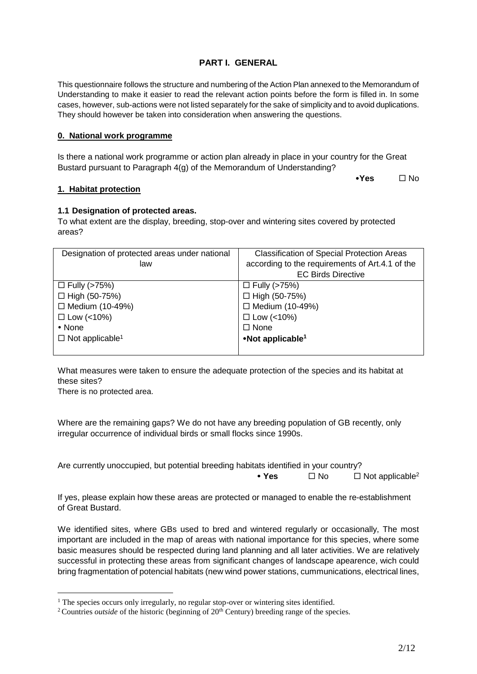# **PART I. GENERAL**

This questionnaire follows the structure and numbering of the Action Plan annexed to the Memorandum of Understanding to make it easier to read the relevant action points before the form is filled in. In some cases, however, sub-actions were not listed separately for the sake of simplicity and to avoid duplications. They should however be taken into consideration when answering the questions.

### **0. National work programme**

Is there a national work programme or action plan already in place in your country for the Great Bustard pursuant to Paragraph 4(g) of the Memorandum of Understanding?

**•Yes** □ No

### **1. Habitat protection**

### **1.1 Designation of protected areas.**

To what extent are the display, breeding, stop-over and wintering sites covered by protected areas?

| Designation of protected areas under national | <b>Classification of Special Protection Areas</b> |
|-----------------------------------------------|---------------------------------------------------|
| law                                           | according to the requirements of Art.4.1 of the   |
|                                               | <b>EC Birds Directive</b>                         |
| $\Box$ Fully (>75%)                           | $\Box$ Fully (>75%)                               |
| $\Box$ High (50-75%)                          | $\Box$ High (50-75%)                              |
| $\Box$ Medium (10-49%)                        | $\Box$ Medium (10-49%)                            |
| $\Box$ Low (<10%)                             | $\Box$ Low (<10%)                                 |
| $\bullet$ None                                | $\Box$ None                                       |
| $\Box$ Not applicable <sup>1</sup>            | •Not applicable <sup>1</sup>                      |
|                                               |                                                   |

<span id="page-1-0"></span>What measures were taken to ensure the adequate protection of the species and its habitat at these sites?

There is no protected area.

<u>.</u>

Where are the remaining gaps? We do not have any breeding population of GB recently, only irregular occurrence of individual birds or small flocks since 1990s.

Are currently unoccupied, but potential breeding habitats identified in your country?

• Yes  $\Box$  No  $\Box$  Not applicable<sup>2</sup>

If yes, please explain how these areas are protected or managed to enable the re-establishment of Great Bustard.

We identified sites, where GBs used to bred and wintered regularly or occasionally, The most important are included in the map of areas with national importance for this species, where some basic measures should be respected during land planning and all later activities. We are relatively successful in protecting these areas from significant changes of landscape apearence, wich could bring fragmentation of potencial habitats (new wind power stations, cummunications, electrical lines,

<sup>&</sup>lt;sup>1</sup> The species occurs only irregularly, no regular stop-over or wintering sites identified.

<sup>&</sup>lt;sup>2</sup> Countries *outside* of the historic (beginning of 20<sup>th</sup> Century) breeding range of the species.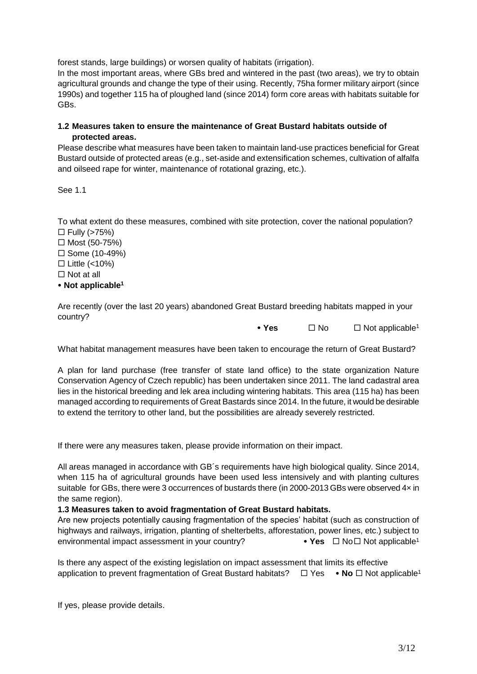forest stands, large buildings) or worsen quality of habitats (irrigation).

In the most important areas, where GBs bred and wintered in the past (two areas), we try to obtain agricultural grounds and change the type of their using. Recently, 75ha former military airport (since 1990s) and together 115 ha of ploughed land (since 2014) form core areas with habitats suitable for GBs.

### **1.2 Measures taken to ensure the maintenance of Great Bustard habitats outside of protected areas.**

Please describe what measures have been taken to maintain land-use practices beneficial for Great Bustard outside of protected areas (e.g., set-aside and extensification schemes, cultivation of alfalfa and oilseed rape for winter, maintenance of rotational grazing, etc.).

See 1.1

To what extent do these measures, combined with site protection, cover the national population?  $\Box$  Fully (>75%)

 $\Box$  Most (50-75%)  $\square$  Some (10-49%)  $\Box$  Little (<10%)  $\Box$  Not at all **Not applicable[1](#page-1-0)**

Are recently (over the last 20 years) abandoned Great Bustard breeding habitats mapped in your country?

• Y[e](#page-1-0)s □ No □ Not applicable<sup>1</sup>

What habitat management measures have been taken to encourage the return of Great Bustard?

A plan for land purchase (free transfer of state land office) to the state organization Nature Conservation Agency of Czech republic) has been undertaken since 2011. The land cadastral area lies in the historical breeding and lek area including wintering habitats. This area (115 ha) has been managed according to requirements of Great Bastards since 2014. In the future, it would be desirable to extend the territory to other land, but the possibilities are already severely restricted.

If there were any measures taken, please provide information on their impact.

All areas managed in accordance with GB´s requirements have high biological quality. Since 2014, when 115 ha of agricultural grounds have been used less intensively and with planting cultures suitable for GBs, there were 3 occurrences of bustards there (in 2000-2013 GBs were observed 4x in the same region).

#### **1.3 Measures taken to avoid fragmentation of Great Bustard habitats.**

Are new projects potentially causing fragmentation of the species' habitat (such as construction of highways and railways, irrigation, planting of shelterbelts, afforestation, power lines, etc.) subject to [e](#page-1-0)nvironmental impact assessment in your country? • • Yes □ No□ Not applicable<sup>1</sup>

Is there any aspect of the existing legislation on impact assessment that limits its effective application to pr[e](#page-1-0)vent fragmentation of Great Bustard habitats?  $\Box$  Yes • No  $\Box$  Not applicable<sup>1</sup>

If yes, please provide details.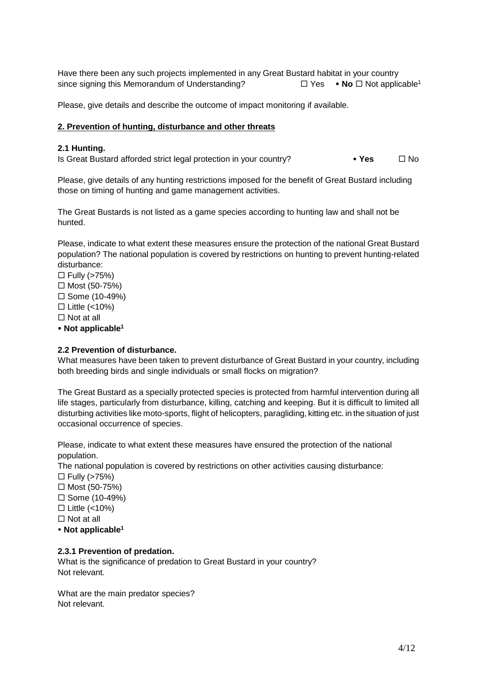Have there been any such projects implemented in any Great Bustard habitat in your country sinc[e](#page-1-0) signing this Memorandum of Understanding?  $\square$  Yes • No  $\square$  Not applicable<sup>1</sup>

Please, give details and describe the outcome of impact monitoring if available.

### **2. Prevention of hunting, disturbance and other threats**

#### **2.1 Hunting.**

Is Great Bustard afforded strict legal protection in your country? • **Yes No** No

Please, give details of any hunting restrictions imposed for the benefit of Great Bustard including those on timing of hunting and game management activities.

The Great Bustards is not listed as a game species according to hunting law and shall not be hunted.

Please, indicate to what extent these measures ensure the protection of the national Great Bustard population? The national population is covered by restrictions on hunting to prevent hunting-related disturbance:

 $\Box$  Fully (>75%)  $\Box$  Most (50-75%)  $\square$  Some (10-49%)  $\Box$  Little (<10%)  $\Box$  Not at all

**Not applicable[1](#page-1-0)**

# **2.2 Prevention of disturbance.**

What measures have been taken to prevent disturbance of Great Bustard in your country, including both breeding birds and single individuals or small flocks on migration?

The Great Bustard as a specially protected species is protected from harmful intervention during all life stages, particularly from disturbance, killing, catching and keeping. But it is difficult to limited all disturbing activities like moto-sports, flight of helicopters, paragliding, kitting etc. in the situation of just occasional occurrence of species.

Please, indicate to what extent these measures have ensured the protection of the national population.

The national population is covered by restrictions on other activities causing disturbance:

- $\Box$  Fully (>75%)
- $\Box$  Most (50-75%)
- $\square$  Some (10-49%)
- $\Box$  Little (<10%)
- $\Box$  Not at all
- **Not applicabl[e](#page-1-0)<sup>1</sup>**

# **2.3.1 Prevention of predation.**

What is the significance of predation to Great Bustard in your country? Not relevant.

What are the main predator species? Not relevant.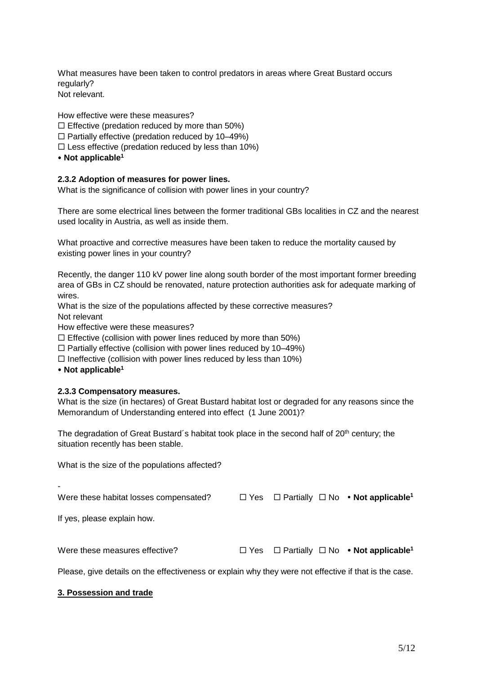What measures have been taken to control predators in areas where Great Bustard occurs regularly? Not relevant.

How effective were these measures?

 $\square$  Effective (predation reduced by more than 50%)

 $\Box$  Partially effective (predation reduced by 10–49%)

- $\square$  Less effective (predation reduced by less than 10%)
- **Not applicable[1](#page-1-0)**

### **2.3.2 Adoption of measures for power lines.**

What is the significance of collision with power lines in your country?

There are some electrical lines between the former traditional GBs localities in CZ and the nearest used locality in Austria, as well as inside them.

What proactive and corrective measures have been taken to reduce the mortality caused by existing power lines in your country?

Recently, the danger 110 kV power line along south border of the most important former breeding area of GBs in CZ should be renovated, nature protection authorities ask for adequate marking of wires.

What is the size of the populations affected by these corrective measures?

Not relevant

How effective were these measures?

 $\Box$  Effective (collision with power lines reduced by more than 50%)

 $\Box$  Partially effective (collision with power lines reduced by 10–49%)

 $\Box$  Ineffective (collision with power lines reduced by less than 10%)

**Not applicable[1](#page-1-0)**

#### **2.3.3 Compensatory measures.**

What is the size (in hectares) of Great Bustard habitat lost or degraded for any reasons since the Memorandum of Understanding entered into effect (1 June 2001)?

The degradation of Great Bustard's habitat took place in the second half of 20<sup>th</sup> century; the situation recently has been stable.

What is the size of the populations affected?

| Were these habitat losses compensated? |  | $\Box$ Yes $\Box$ Partially $\Box$ No • Not applicable <sup>1</sup> |
|----------------------------------------|--|---------------------------------------------------------------------|
| If yes, please explain how.            |  |                                                                     |
| Were these measures effective?         |  | $\Box$ Yes $\Box$ Partially $\Box$ No • Not applicable <sup>1</sup> |

Please, give details on the effectiveness or explain why they were not effective if that is the case.

#### **3. Possession and trade**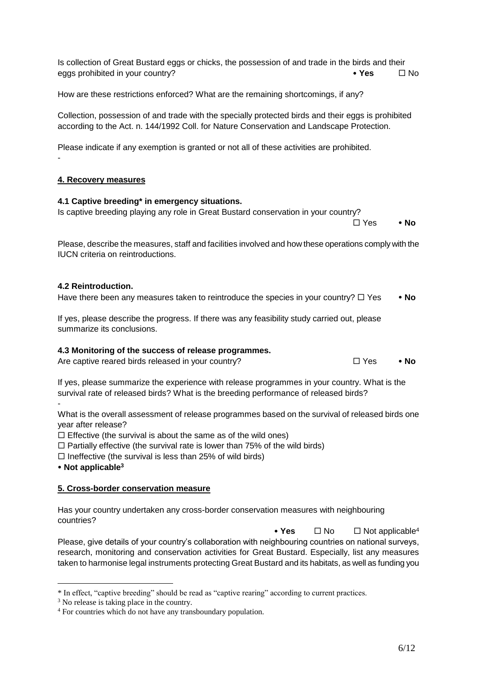according to the Act. n. 144/1992 Coll. for Nature Conservation and Landscape Protection.

Please indicate if any exemption is granted or not all of these activities are prohibited.

Collection, possession of and trade with the specially protected birds and their eggs is prohibited

How are these restrictions enforced? What are the remaining shortcomings, if any?

### **4. Recovery measures**

-

### **4.1 Captive breeding\* in emergency situations.**

Is captive breeding playing any role in Great Bustard conservation in your country?

Please, describe the measures, staff and facilities involved and how these operations comply with the IUCN criteria on reintroductions.

#### **4.2 Reintroduction.**

Have there been any measures taken to reintroduce the species in your country?  $\Box$  Yes  $\bullet$  No

If yes, please describe the progress. If there was any feasibility study carried out, please summarize its conclusions.

#### **4.3 Monitoring of the success of release programmes.**

Are captive reared birds released in your country?  $\Box$  Yes • No

If yes, please summarize the experience with release programmes in your country. What is the survival rate of released birds? What is the breeding performance of released birds? -

What is the overall assessment of release programmes based on the survival of released birds one year after release?

 $\Box$  Effective (the survival is about the same as of the wild ones)

 $\Box$  Partially effective (the survival rate is lower than 75% of the wild birds)

 $\Box$  Ineffective (the survival is less than 25% of wild birds)

**Not applicable<sup>3</sup>**

<u>.</u>

#### **5. Cross-border conservation measure**

Has your country undertaken any cross-border conservation measures with neighbouring countries?

• Yes □ No □ Not applicable<sup>4</sup> Please, give details of your country's collaboration with neighbouring countries on national surveys, research, monitoring and conservation activities for Great Bustard. Especially, list any measures taken to harmonise legal instruments protecting Great Bustard and its habitats, as well as funding you

Yes **No**

Is collection of Great Bustard eggs or chicks, the possession of and trade in the birds and their eggs prohibited in your country? **Accord in the set of the Second Second Second Second Second Second Second Second Second Second Second Second Second Second Second Second Second Second Second Second Second Second Second Se** 

<sup>\*</sup> In effect, "captive breeding" should be read as "captive rearing" according to current practices.

<sup>&</sup>lt;sup>3</sup> No release is taking place in the country.

<sup>4</sup> For countries which do not have any transboundary population.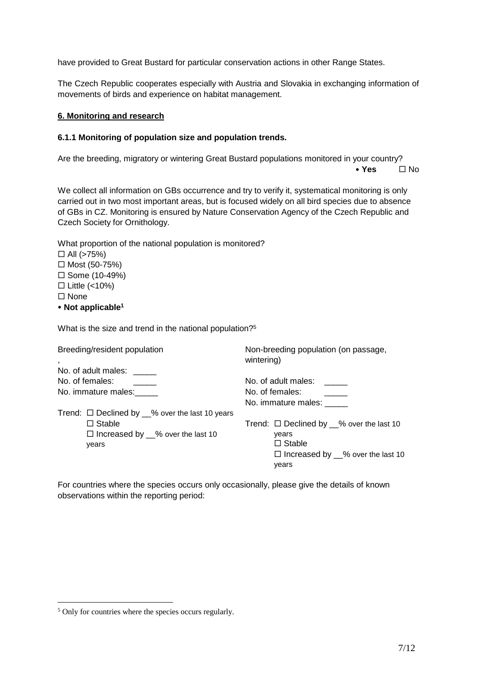have provided to Great Bustard for particular conservation actions in other Range States.

The Czech Republic cooperates especially with Austria and Slovakia in exchanging information of movements of birds and experience on habitat management.

#### **6. Monitoring and research**

#### **6.1.1 Monitoring of population size and population trends.**

Are the breeding, migratory or wintering Great Bustard populations monitored in your country?

◆ **Yes**  $\Box$  No

We collect all information on GBs occurrence and try to verify it, systematical monitoring is only carried out in two most important areas, but is focused widely on all bird species due to absence of GBs in CZ. Monitoring is ensured by Nature Conservation Agency of the Czech Republic and Czech Society for Ornithology.

| What proportion of the national population is monitored? |
|----------------------------------------------------------|
| $\Box$ All (>75%)                                        |
| □ Most $(50-75%)$                                        |
| $\Box$ Some (10-49%)                                     |
| $\Box$ Little (<10%)                                     |
| $\square$ None                                           |
| • Not applicable <sup>1</sup>                            |
|                                                          |

What is the size and trend in the national population?<sup>5</sup>

| Breeding/resident population                                  | Non-breeding population (on passage,<br>wintering)   |  |
|---------------------------------------------------------------|------------------------------------------------------|--|
| No. of adult males:<br>No. of females:<br>No. immature males: | No. of adult males:<br>No. of females:               |  |
|                                                               | No. immature males:                                  |  |
| Trend: $\Box$ Declined by $\_\%$ over the last 10 years       |                                                      |  |
| $\Box$ Stable                                                 | Trend: $\Box$ Declined by $\_\%$ over the last 10    |  |
| $\Box$ Increased by $\_\%$ over the last 10                   | years                                                |  |
| years                                                         | $\Box$ Stable                                        |  |
|                                                               | $\Box$ Increased by $\_\%$ over the last 10<br>years |  |

For countries where the species occurs only occasionally, please give the details of known observations within the reporting period:

1

<sup>5</sup> Only for countries where the species occurs regularly.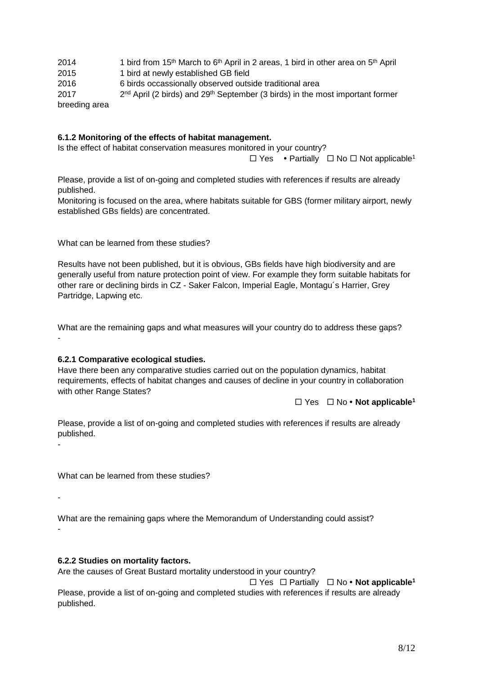| 2014          | 1 bird from 15 <sup>th</sup> March to 6 <sup>th</sup> April in 2 areas, 1 bird in other area on 5 <sup>th</sup> April |
|---------------|-----------------------------------------------------------------------------------------------------------------------|
| 2015          | 1 bird at newly established GB field                                                                                  |
| 2016          | 6 birds occassionally observed outside traditional area                                                               |
| 2017          | $2nd$ April (2 birds) and $29th$ September (3 birds) in the most important former                                     |
| breeding area |                                                                                                                       |

### **6.1.2 Monitoring of the effects of habitat management.**

Is the effect of habitat conservation measures monitored in your country?

 $\Box$  Y[e](#page-1-0)s • Partially  $\Box$  No  $\Box$  Not applicable<sup>1</sup>

Please, provide a list of on-going and completed studies with references if results are already published.

Monitoring is focused on the area, where habitats suitable for GBS (former military airport, newly established GBs fields) are concentrated.

What can be learned from these studies?

Results have not been published, but it is obvious, GBs fields have high biodiversity and are generally useful from nature protection point of view. For example they form suitable habitats for other rare or declining birds in CZ - Saker Falcon, Imperial Eagle, Montagu´s Harrier, Grey Partridge, Lapwing etc.

What are the remaining gaps and what measures will your country do to address these gaps? -

#### **6.2.1 Comparative ecological studies.**

Have there been any comparative studies carried out on the population dynamics, habitat requirements, effects of habitat changes and causes of decline in your country in collaboration with other Range States?

 $\Box$  Y[e](#page-1-0)s  $\Box$  No • **Not applicable**<sup>1</sup>

Please, provide a list of on-going and completed studies with references if results are already published.

What can be learned from these studies?

-

-

What are the remaining gaps where the Memorandum of Understanding could assist? -

#### **6.2.2 Studies on mortality factors.**

Are the causes of Great Bustard mortality understood in your country?

 Yes Partially No **Not applicabl[e](#page-1-0)<sup>1</sup>** Please, provide a list of on-going and completed studies with references if results are already published.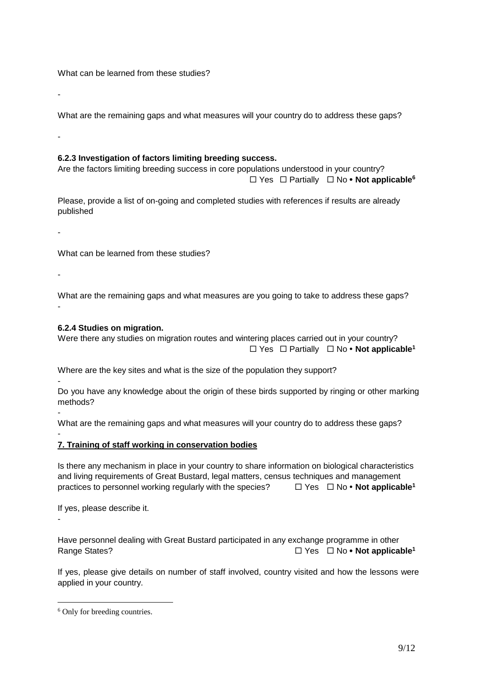What can be learned from these studies?

-

What are the remaining gaps and what measures will your country do to address these gaps?

-

# **6.2.3 Investigation of factors limiting breeding success.**

Are the factors limiting breeding success in core populations understood in your country? Yes Partially No **Not applicable<sup>6</sup>**

Please, provide a list of on-going and completed studies with references if results are already published

-

What can be learned from these studies?

-

-

-

-

1

What are the remaining gaps and what measures are you going to take to address these gaps? -

# **6.2.4 Studies on migration.**

Were there any studies on migration routes and wintering places carried out in your country? Yes Partially No **Not applicabl[e](#page-1-0)<sup>1</sup>**

Where are the key sites and what is the size of the population they support?

- Do you have any knowledge about the origin of these birds supported by ringing or other marking methods?

What are the remaining gaps and what measures will your country do to address these gaps?

# **7. Training of staff working in conservation bodies**

Is there any mechanism in place in your country to share information on biological characteristics and living requirements of Great Bustard, legal matters, census techniques and management practic[e](#page-1-0)s to personnel working regularly with the species?  $\Box$  Yes  $\Box$  No  $\bullet$  Not applicable<sup>1</sup>

If yes, please describe it.

Have personnel dealing with Great Bustard participated in any exchange programme in other Rang[e](#page-1-0) States? **The States**  $\Box$  Yes  $\Box$  No • Not applicable<sup>1</sup>

If yes, please give details on number of staff involved, country visited and how the lessons were applied in your country.

<sup>6</sup> Only for breeding countries.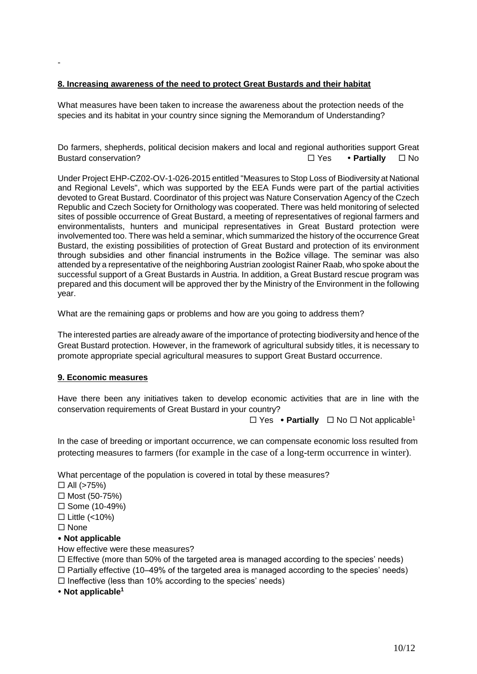# **8. Increasing awareness of the need to protect Great Bustards and their habitat**

What measures have been taken to increase the awareness about the protection needs of the species and its habitat in your country since signing the Memorandum of Understanding?

Do farmers, shepherds, political decision makers and local and regional authorities support Great Bustard conservation? Yes **Partially** No

Under Project EHP-CZ02-OV-1-026-2015 entitled "Measures to Stop Loss of Biodiversity at National and Regional Levels", which was supported by the EEA Funds were part of the partial activities devoted to Great Bustard. Coordinator of this project was Nature Conservation Agency of the Czech Republic and Czech Society for Ornithology was cooperated. There was held monitoring of selected sites of possible occurrence of Great Bustard, a meeting of representatives of regional farmers and environmentalists, hunters and municipal representatives in Great Bustard protection were involvemented too. There was held a seminar, which summarized the history of the occurrence Great Bustard, the existing possibilities of protection of Great Bustard and protection of its environment through subsidies and other financial instruments in the Božice village. The seminar was also attended by a representative of the neighboring Austrian zoologist Rainer Raab, who spoke about the successful support of a Great Bustards in Austria. In addition, a Great Bustard rescue program was prepared and this document will be approved ther by the Ministry of the Environment in the following year.

What are the remaining gaps or problems and how are you going to address them?

The interested parties are already aware of the importance of protecting biodiversity and hence of the Great Bustard protection. However, in the framework of agricultural subsidy titles, it is necessary to promote appropriate special agricultural measures to support Great Bustard occurrence.

#### **9. Economic measures**

Have there been any initiatives taken to develop economic activities that are in line with the conservation requirements of Great Bustard in your country?

 $\Box$  Y[e](#page-1-0)s • **Partially**  $\Box$  No  $\Box$  Not applicable<sup>1</sup>

In the case of breeding or important occurrence, we can compensate economic loss resulted from protecting measures to farmers (for example in the case of a long-term occurrence in winter).

What percentage of the population is covered in total by these measures?

- $\Box$  All (>75%)
- $\Box$  Most (50-75%)
- $\square$  Some (10-49%)
- $\Box$  Little (<10%)

 $\square$  None

-

# **Not applicable**

How effective were these measures?

 $\Box$  Effective (more than 50% of the targeted area is managed according to the species' needs)

 $\Box$  Partially effective (10–49% of the targeted area is managed according to the species' needs)

 $\Box$  Ineffective (less than 10% according to the species' needs)

**Not applicabl[e](#page-1-0)<sup>1</sup>**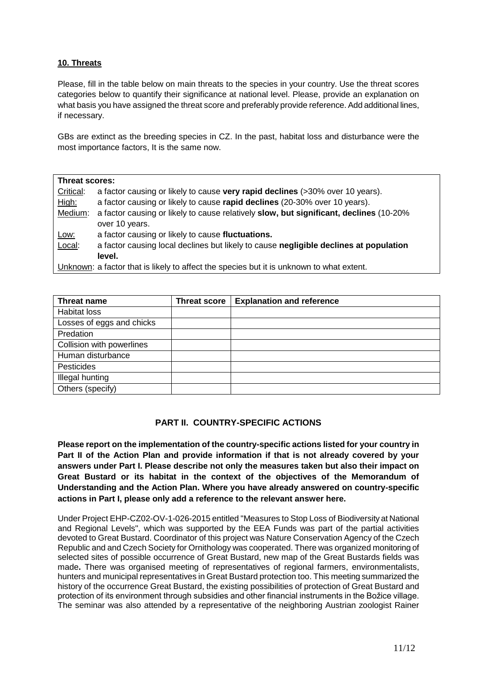# **10. Threats**

Please, fill in the table below on main threats to the species in your country. Use the threat scores categories below to quantify their significance at national level. Please, provide an explanation on what basis you have assigned the threat score and preferably provide reference. Add additional lines, if necessary.

GBs are extinct as the breeding species in CZ. In the past, habitat loss and disturbance were the most importance factors, It is the same now.

| Threat scores: |                                                                                          |  |
|----------------|------------------------------------------------------------------------------------------|--|
| Critical:      | a factor causing or likely to cause very rapid declines (>30% over 10 years).            |  |
| High:          | a factor causing or likely to cause rapid declines (20-30% over 10 years).               |  |
| Medium:        | a factor causing or likely to cause relatively slow, but significant, declines (10-20%   |  |
|                | over 10 years.                                                                           |  |
| Low:           | a factor causing or likely to cause fluctuations.                                        |  |
| Local:         | a factor causing local declines but likely to cause negligible declines at population    |  |
|                | level.                                                                                   |  |
|                | Unknown: a factor that is likely to affect the species but it is unknown to what extent. |  |

| Threat name               | <b>Threat score</b> | <b>Explanation and reference</b> |
|---------------------------|---------------------|----------------------------------|
| <b>Habitat loss</b>       |                     |                                  |
| Losses of eggs and chicks |                     |                                  |
| Predation                 |                     |                                  |
| Collision with powerlines |                     |                                  |
| Human disturbance         |                     |                                  |
| Pesticides                |                     |                                  |
| <b>Illegal hunting</b>    |                     |                                  |
| Others (specify)          |                     |                                  |

# **PART II. COUNTRY-SPECIFIC ACTIONS**

**Please report on the implementation of the country-specific actions listed for your country in Part II of the Action Plan and provide information if that is not already covered by your answers under Part I. Please describe not only the measures taken but also their impact on Great Bustard or its habitat in the context of the objectives of the Memorandum of Understanding and the Action Plan. Where you have already answered on country-specific actions in Part I, please only add a reference to the relevant answer here.**

Under Project EHP-CZ02-OV-1-026-2015 entitled "Measures to Stop Loss of Biodiversity at National and Regional Levels", which was supported by the EEA Funds was part of the partial activities devoted to Great Bustard. Coordinator of this project was Nature Conservation Agency of the Czech Republic and and Czech Society for Ornithology was cooperated. There was organized monitoring of selected sites of possible occurrence of Great Bustard, new map of the Great Bustards fields was made**.** There was organised meeting of representatives of regional farmers, environmentalists, hunters and municipal representatives in Great Bustard protection too. This meeting summarized the history of the occurrence Great Bustard, the existing possibilities of protection of Great Bustard and protection of its environment through subsidies and other financial instruments in the Božice village. The seminar was also attended by a representative of the neighboring Austrian zoologist Rainer